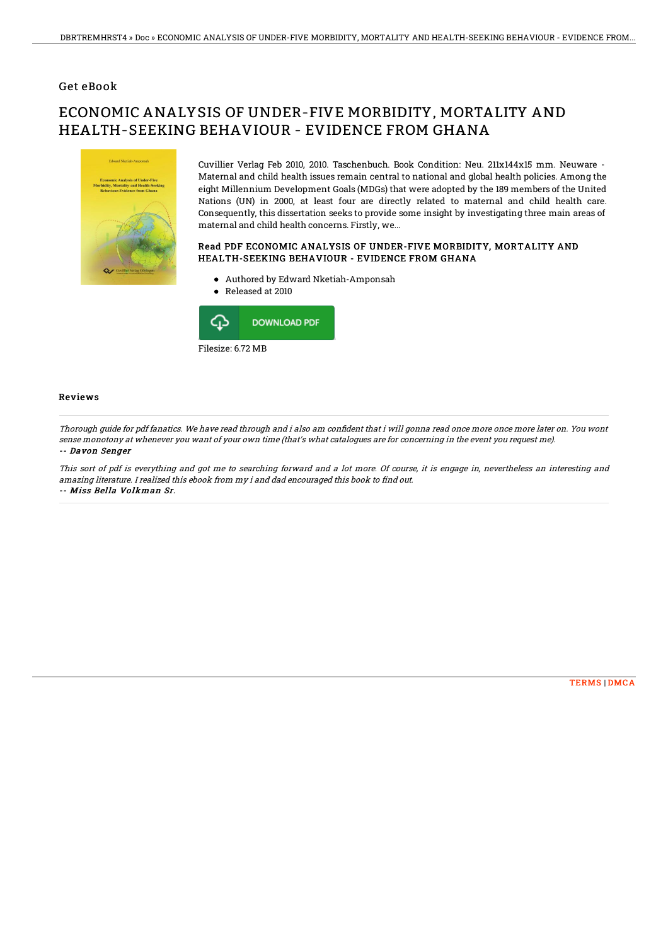### Get eBook

# ECONOMIC ANALYSIS OF UNDER-FIVE MORBIDITY, MORTALITY AND HEALTH-SEEKING BEHAVIOUR - EVIDENCE FROM GHANA



Cuvillier Verlag Feb 2010, 2010. Taschenbuch. Book Condition: Neu. 211x144x15 mm. Neuware - Maternal and child health issues remain central to national and global health policies. Among the eight Millennium Development Goals (MDGs) that were adopted by the 189 members of the United Nations (UN) in 2000, at least four are directly related to maternal and child health care. Consequently, this dissertation seeks to provide some insight by investigating three main areas of maternal and child health concerns. Firstly, we...

### Read PDF ECONOMIC ANALYSIS OF UNDER-FIVE MORBIDITY, MORTALITY AND HEALTH-SEEKING BEHAVIOUR - EVIDENCE FROM GHANA

- Authored by Edward Nketiah-Amponsah
- Released at 2010



#### Reviews

Thorough guide for pdf fanatics. We have read through and i also am confident that i will gonna read once more once more later on. You wont sense monotony at whenever you want of your own time (that's what catalogues are for concerning in the event you request me). -- Davon Senger

This sort of pdf is everything and got me to searching forward and <sup>a</sup> lot more. Of course, it is engage in, nevertheless an interesting and amazing literature. I realized this ebook from my i and dad encouraged this book to find out. -- Miss Bella Volkman Sr.